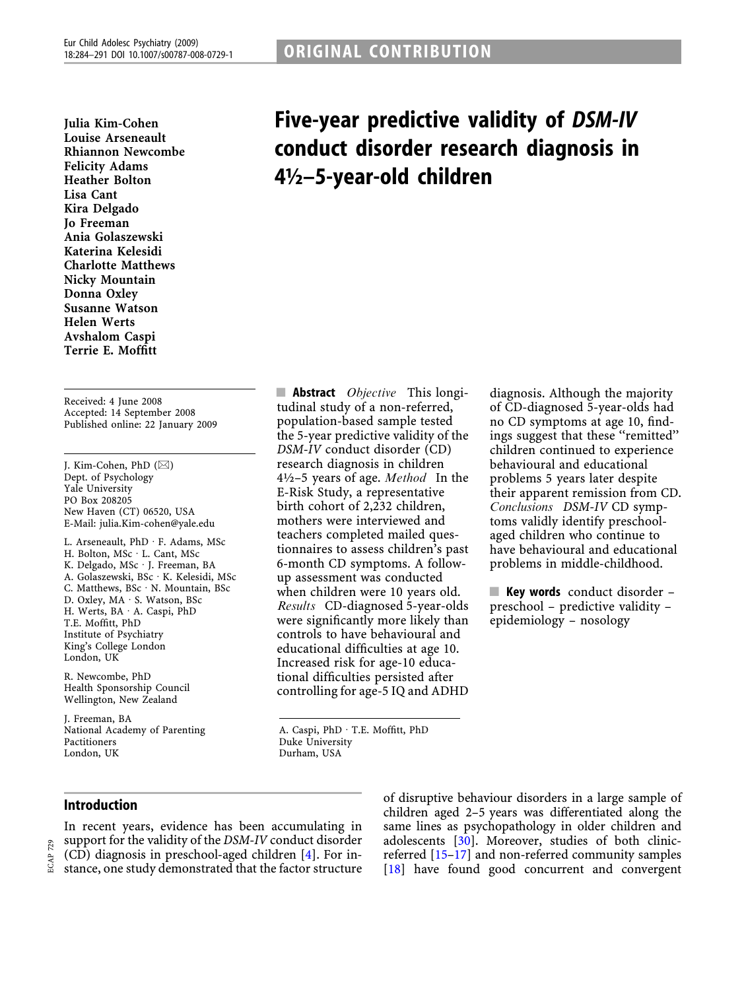Julia Kim-Cohen Louise Arseneault Rhiannon Newcombe Felicity Adams Heather Bolton Lisa Cant Kira Delgado **Jo Freeman** Ania Golaszewski Katerina Kelesidi Charlotte Matthews Nicky Mountain Donna Oxley Susanne Watson Helen Werts Avshalom Caspi Terrie E. Moffitt

Received: 4 June 2008 Accepted: 14 September 2008 Published online: 22 January 2009

J. Kim-Cohen, PhD  $(\boxtimes)$ Dept. of Psychology Yale University PO Box 208205 New Haven (CT) 06520, USA E-Mail: julia.Kim-cohen@yale.edu

L. Arseneault, PhD · F. Adams, MSc H. Bolton, MSc · L. Cant, MSc K. Delgado, MSc · J. Freeman, BA A. Golaszewski, BSc · K. Kelesidi, MSc C. Matthews, BSc · N. Mountain, BSc D. Oxley, MA · S. Watson, BSc H. Werts, BA · A. Caspi, PhD T.E. Moffitt, PhD Institute of Psychiatry King's College London London, UK

R. Newcombe, PhD Health Sponsorship Council Wellington, New Zealand

J. Freeman, BA National Academy of Parenting Pactitioners London, UK

Five-year predictive validity of DSM-IV conduct disorder research diagnosis in 4½–5-year-old children

**Abstract** *Objective* This longitudinal study of a non-referred, population-based sample tested the 5-year predictive validity of the DSM-IV conduct disorder (CD) research diagnosis in children 4½–5 years of age. Method In the E-Risk Study, a representative birth cohort of 2,232 children, mothers were interviewed and teachers completed mailed questionnaires to assess children's past 6-month CD symptoms. A followup assessment was conducted when children were 10 years old. Results CD-diagnosed 5-year-olds were significantly more likely than controls to have behavioural and educational difficulties at age 10. Increased risk for age-10 educational difficulties persisted after controlling for age-5 IQ and ADHD

A. Caspi, PhD · T.E. Moffitt, PhD Duke University

Durham, USA

diagnosis. Although the majority of CD-diagnosed 5-year-olds had no CD symptoms at age 10, findings suggest that these ''remitted'' children continued to experience behavioural and educational problems 5 years later despite their apparent remission from CD. Conclusions DSM-IV CD symptoms validly identify preschoolaged children who continue to have behavioural and educational problems in middle-childhood.

 $\blacksquare$  Key words conduct disorder – preschool – predictive validity – epidemiology – nosology

# Introduction

In recent years, evidence has been accumulating in support for the validity of the DSM-IV conduct disorder (CD) diagnosis in preschool-aged children [[4\]](#page-6-0). For instance, one study demonstrated that the factor structure of disruptive behaviour disorders in a large sample of children aged 2–5 years was differentiated along the same lines as psychopathology in older children and adolescents [[30\]](#page-6-0). Moreover, studies of both clinicreferred [\[15](#page-6-0)–[17\]](#page-6-0) and non-referred community samples [\[18\]](#page-6-0) have found good concurrent and convergent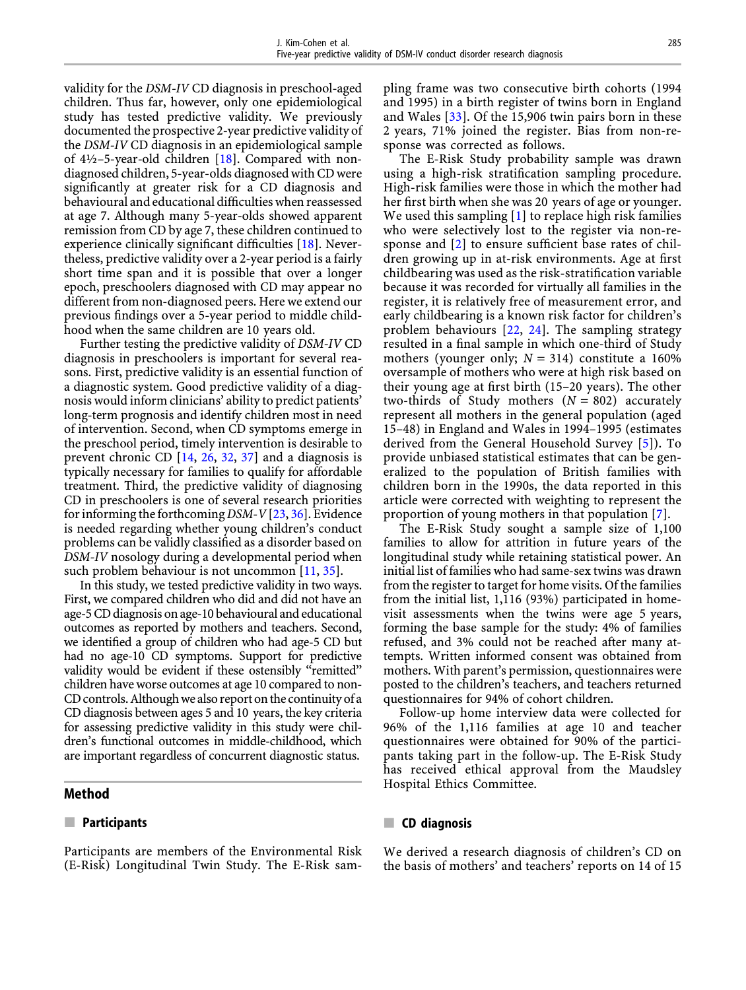validity for the DSM-IV CD diagnosis in preschool-aged children. Thus far, however, only one epidemiological study has tested predictive validity. We previously documented the prospective 2-year predictive validity of the DSM-IV CD diagnosis in an epidemiological sample of  $4\frac{1}{2}$ –5-year-old children [\[18](#page-6-0)]. Compared with nondiagnosed children, 5-year-olds diagnosed with CD were significantly at greater risk for a CD diagnosis and behavioural and educational difficulties when reassessed at age 7. Although many 5-year-olds showed apparent remission from CD by age 7, these children continued to experience clinically significant difficulties [[18\]](#page-6-0). Nevertheless, predictive validity over a 2-year period is a fairly short time span and it is possible that over a longer epoch, preschoolers diagnosed with CD may appear no different from non-diagnosed peers. Here we extend our previous findings over a 5-year period to middle childhood when the same children are 10 years old.

Further testing the predictive validity of DSM-IV CD diagnosis in preschoolers is important for several reasons. First, predictive validity is an essential function of a diagnostic system. Good predictive validity of a diagnosis would inform clinicians' ability to predict patients' long-term prognosis and identify children most in need of intervention. Second, when CD symptoms emerge in the preschool period, timely intervention is desirable to prevent chronic CD [[14,](#page-6-0) [26,](#page-6-0) [32,](#page-6-0) [37\]](#page-7-0) and a diagnosis is typically necessary for families to qualify for affordable treatment. Third, the predictive validity of diagnosing CD in preschoolers is one of several research priorities for informing the forthcoming DSM-V[ $23, 36$  $23, 36$ ]. Evidence is needed regarding whether young children's conduct problems can be validly classified as a disorder based on DSM-IV nosology during a developmental period when such problem behaviour is not uncommon [[11,](#page-6-0) [35\]](#page-7-0).

In this study, we tested predictive validity in two ways. First, we compared children who did and did not have an age-5 CD diagnosis on age-10 behavioural and educational outcomes as reported by mothers and teachers. Second, we identified a group of children who had age-5 CD but had no age-10 CD symptoms. Support for predictive validity would be evident if these ostensibly ''remitted'' children have worse outcomes at age 10 compared to non-CD controls. Although we also report on the continuity of a CD diagnosis between ages 5 and 10 years, the key criteria for assessing predictive validity in this study were children's functional outcomes in middle-childhood, which are important regardless of concurrent diagnostic status.

# Method

### $\blacksquare$  Participants

Participants are members of the Environmental Risk (E-Risk) Longitudinal Twin Study. The E-Risk sampling frame was two consecutive birth cohorts (1994 and 1995) in a birth register of twins born in England and Wales [[33\]](#page-7-0). Of the 15,906 twin pairs born in these 2 years, 71% joined the register. Bias from non-response was corrected as follows.

The E-Risk Study probability sample was drawn using a high-risk stratification sampling procedure. High-risk families were those in which the mother had her first birth when she was 20 years of age or younger. We used this sampling  $[1]$  $[1]$  to replace high risk families who were selectively lost to the register via non-response and [[2\]](#page-6-0) to ensure sufficient base rates of children growing up in at-risk environments. Age at first childbearing was used as the risk-stratification variable because it was recorded for virtually all families in the register, it is relatively free of measurement error, and early childbearing is a known risk factor for children's problem behaviours [[22](#page-6-0), [24](#page-6-0)]. The sampling strategy resulted in a final sample in which one-third of Study mothers (younger only;  $N = 314$ ) constitute a 160% oversample of mothers who were at high risk based on their young age at first birth (15–20 years). The other two-thirds of Study mothers  $(N = 802)$  accurately represent all mothers in the general population (aged 15–48) in England and Wales in 1994–1995 (estimates derived from the General Household Survey [\[5](#page-6-0)]). To provide unbiased statistical estimates that can be generalized to the population of British families with children born in the 1990s, the data reported in this article were corrected with weighting to represent the proportion of young mothers in that population [\[7](#page-6-0)].

The E-Risk Study sought a sample size of 1,100 families to allow for attrition in future years of the longitudinal study while retaining statistical power. An initial list of families who had same-sex twins was drawn from the register to target for home visits. Of the families from the initial list, 1,116 (93%) participated in homevisit assessments when the twins were age 5 years, forming the base sample for the study: 4% of families refused, and 3% could not be reached after many attempts. Written informed consent was obtained from mothers. With parent's permission, questionnaires were posted to the children's teachers, and teachers returned questionnaires for 94% of cohort children.

Follow-up home interview data were collected for 96% of the 1,116 families at age 10 and teacher questionnaires were obtained for 90% of the participants taking part in the follow-up. The E-Risk Study has received ethical approval from the Maudsley Hospital Ethics Committee.

# $\blacksquare$  CD diagnosis

We derived a research diagnosis of children's CD on the basis of mothers' and teachers' reports on 14 of 15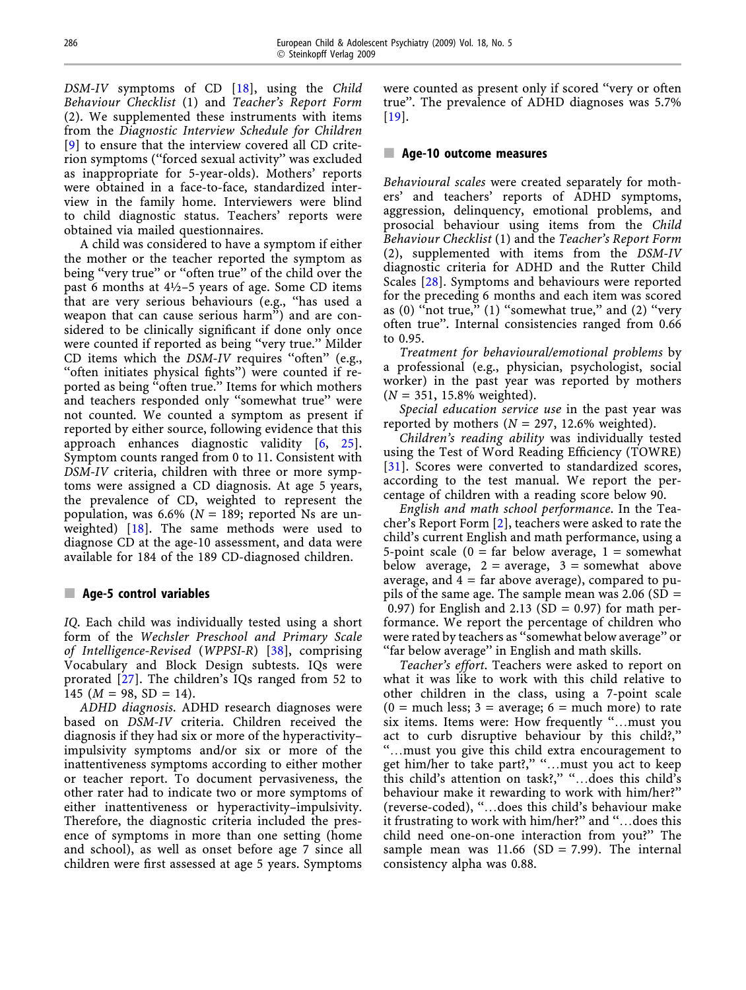DSM-IV symptoms of CD [[18\]](#page-6-0), using the Child Behaviour Checklist (1) and Teacher's Report Form (2). We supplemented these instruments with items from the Diagnostic Interview Schedule for Children [[9\]](#page-6-0) to ensure that the interview covered all CD criterion symptoms (''forced sexual activity'' was excluded as inappropriate for 5-year-olds). Mothers' reports were obtained in a face-to-face, standardized interview in the family home. Interviewers were blind to child diagnostic status. Teachers' reports were obtained via mailed questionnaires.

A child was considered to have a symptom if either the mother or the teacher reported the symptom as being ''very true'' or ''often true'' of the child over the past 6 months at 4½–5 years of age. Some CD items that are very serious behaviours (e.g., ''has used a weapon that can cause serious harm'') and are considered to be clinically significant if done only once were counted if reported as being "very true." Milder CD items which the *DSM-IV* requires "often" (e.g., ''often initiates physical fights'') were counted if reported as being ''often true.'' Items for which mothers and teachers responded only ''somewhat true'' were not counted. We counted a symptom as present if reported by either source, following evidence that this approach enhances diagnostic validity [[6,](#page-6-0) [25\]](#page-6-0). Symptom counts ranged from 0 to 11. Consistent with DSM-IV criteria, children with three or more symptoms were assigned a CD diagnosis. At age 5 years, the prevalence of CD, weighted to represent the population, was 6.6% ( $N = 189$ ; reported Ns are un-weighted) [[18](#page-6-0)]. The same methods were used to diagnose CD at the age-10 assessment, and data were available for 184 of the 189 CD-diagnosed children.

# $\blacksquare$  Age-5 control variables

IQ. Each child was individually tested using a short form of the Wechsler Preschool and Primary Scale of Intelligence-Revised (WPPSI-R) [\[38\]](#page-7-0), comprising Vocabulary and Block Design subtests. IQs were prorated [\[27](#page-6-0)]. The children's IQs ranged from 52 to 145 ( $M = 98$ , SD = 14).

ADHD diagnosis. ADHD research diagnoses were based on DSM-IV criteria. Children received the diagnosis if they had six or more of the hyperactivity– impulsivity symptoms and/or six or more of the inattentiveness symptoms according to either mother or teacher report. To document pervasiveness, the other rater had to indicate two or more symptoms of either inattentiveness or hyperactivity–impulsivity. Therefore, the diagnostic criteria included the presence of symptoms in more than one setting (home and school), as well as onset before age 7 since all children were first assessed at age 5 years. Symptoms

were counted as present only if scored "very or often true''. The prevalence of ADHD diagnoses was 5.7% [\[19](#page-6-0)].

# **E.** Age-10 outcome measures

Behavioural scales were created separately for mothers' and teachers' reports of ADHD symptoms, aggression, delinquency, emotional problems, and prosocial behaviour using items from the Child Behaviour Checklist (1) and the Teacher's Report Form (2), supplemented with items from the DSM-IV diagnostic criteria for ADHD and the Rutter Child Scales [[28](#page-6-0)]. Symptoms and behaviours were reported for the preceding 6 months and each item was scored as (0) "not true," (1) "somewhat true," and (2) "very often true''. Internal consistencies ranged from 0.66 to 0.95.

Treatment for behavioural/emotional problems by a professional (e.g., physician, psychologist, social worker) in the past year was reported by mothers  $(N = 351, 15.8\%$  weighted).

Special education service use in the past year was reported by mothers ( $N = 297$ , 12.6% weighted).

Children's reading ability was individually tested using the Test of Word Reading Efficiency (TOWRE) [\[31](#page-6-0)]. Scores were converted to standardized scores, according to the test manual. We report the percentage of children with a reading score below 90.

English and math school performance. In the Teacher's Report Form [\[2](#page-6-0)], teachers were asked to rate the child's current English and math performance, using a 5-point scale ( $0 = \text{far}$  below average,  $1 = \text{somewhat}$ below average,  $2 = \text{average}$ ,  $3 = \text{somewhat}$  above average, and  $4 = \text{far above average}$ , compared to pupils of the same age. The sample mean was  $2.06$  (SD = 0.97) for English and 2.13 (SD = 0.97) for math performance. We report the percentage of children who were rated by teachers as ''somewhat below average'' or "far below average" in English and math skills.

Teacher's effort. Teachers were asked to report on what it was like to work with this child relative to other children in the class, using a 7-point scale  $(0 = \text{much less}; 3 = \text{average}; 6 = \text{much more})$  to rate six items. Items were: How frequently "...must you act to curb disruptive behaviour by this child?,'' ''…must you give this child extra encouragement to get him/her to take part?," "...must you act to keep this child's attention on task?,'' ''…does this child's behaviour make it rewarding to work with him/her?'' (reverse-coded), ''…does this child's behaviour make it frustrating to work with him/her?'' and ''…does this child need one-on-one interaction from you?'' The sample mean was  $11.66$  (SD = 7.99). The internal consistency alpha was 0.88.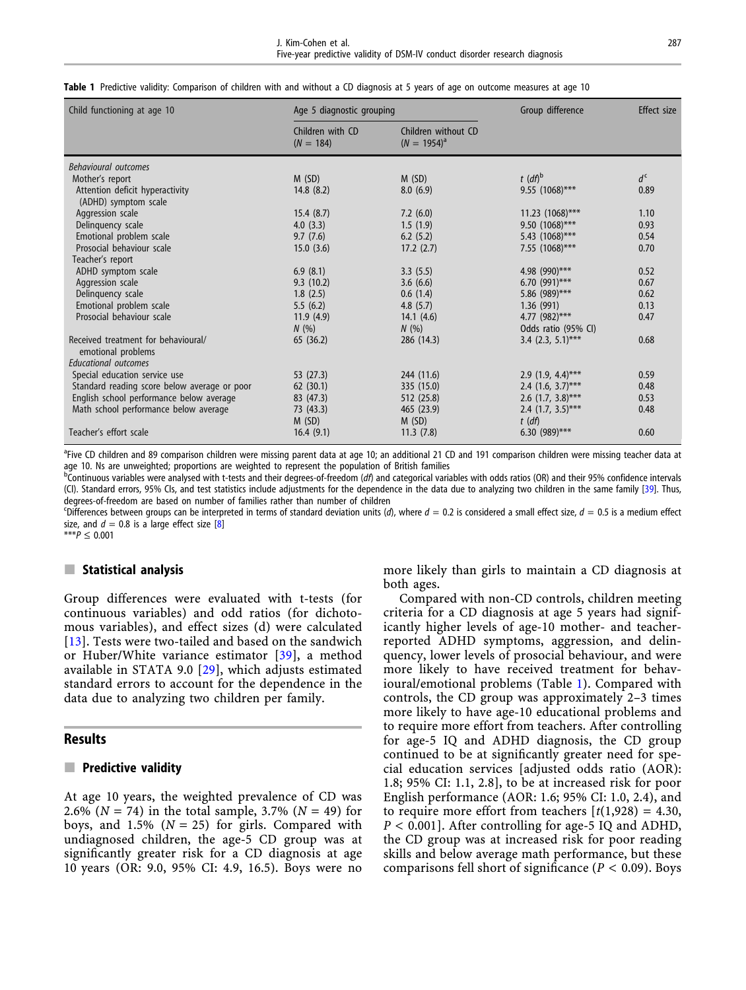|  |  |  |  |  |  |  |  | <b>Table 1</b> Predictive validity: Comparison of children with and without a CD diagnosis at 5 years of age on outcome measures at age 10 |  |  |  |  |  |  |
|--|--|--|--|--|--|--|--|--------------------------------------------------------------------------------------------------------------------------------------------|--|--|--|--|--|--|
|--|--|--|--|--|--|--|--|--------------------------------------------------------------------------------------------------------------------------------------------|--|--|--|--|--|--|

| Child functioning at age 10                               | Age 5 diagnostic grouping       |                                         | Group difference                 | <b>Effect</b> size |
|-----------------------------------------------------------|---------------------------------|-----------------------------------------|----------------------------------|--------------------|
|                                                           | Children with CD<br>$(N = 184)$ | Children without CD<br>$(N = 1954)^{a}$ |                                  |                    |
| <b>Behavioural outcomes</b>                               |                                 |                                         |                                  |                    |
| Mother's report                                           | M(SD)                           | M(SD)                                   | $t$ (df) <sup>b</sup>            | $d^{\mathsf{c}}$   |
| Attention deficit hyperactivity<br>(ADHD) symptom scale   | 14.8(8.2)                       | 8.0(6.9)                                | $9.55$ (1068)***                 | 0.89               |
| Aggression scale                                          | 15.4(8.7)                       | 7.2(6.0)                                | $11.23$ (1068)***                | 1.10               |
| Delinquency scale                                         | 4.0(3.3)                        | 1.5(1.9)                                | 9.50 (1068)***                   | 0.93               |
| Emotional problem scale                                   | 9.7(7.6)                        | 6.2(5.2)                                | 5.43 (1068)***                   | 0.54               |
| Prosocial behaviour scale                                 | 15.0(3.6)                       | 17.2(2.7)                               | 7.55 (1068)***                   | 0.70               |
| Teacher's report                                          |                                 |                                         |                                  |                    |
| ADHD symptom scale                                        | 6.9(8.1)                        | 3.3(5.5)                                | 4.98 (990)***                    | 0.52               |
| Aggression scale                                          | 9.3(10.2)                       | 3.6(6.6)                                | 6.70 $(991)$ ***                 | 0.67               |
| Delinquency scale                                         | 1.8(2.5)                        | 0.6(1.4)                                | 5.86 $(989)$ ***                 | 0.62               |
| Emotional problem scale                                   | 5.5(6.2)                        | 4.8 $(5.7)$                             | 1.36(991)                        | 0.13               |
| Prosocial behaviour scale                                 | 11.9(4.9)                       | 14.1(4.6)                               | 4.77 $(982)$ ***                 | 0.47               |
|                                                           | N(%)                            | N(%                                     | Odds ratio (95% CI)              |                    |
| Received treatment for behavioural/<br>emotional problems | 65(36.2)                        | 286 (14.3)                              | 3.4 $(2.3, 5.1)$ ***             | 0.68               |
| <b>Educational outcomes</b>                               |                                 |                                         |                                  |                    |
| Special education service use                             | 53 (27.3)                       | 244 (11.6)                              | $2.9$ (1.9, 4.4)***              | 0.59               |
| Standard reading score below average or poor              | 62(30.1)                        | 335 (15.0)                              | 2.4 $(1.6, 3.7)$ ***             | 0.48               |
| English school performance below average                  | 83 (47.3)                       | 512 (25.8)                              | 2.6 $(1.7, 3.8)$ ***             | 0.53               |
| Math school performance below average                     | 73 (43.3)<br>M(SD)              | 465 (23.9)<br>M(SD)                     | 2.4 $(1.7, 3.5)$ ***<br>$t$ (df) | 0.48               |
| Teacher's effort scale                                    | 16.4(9.1)                       | 11.3(7.8)                               | 6.30 $(989)$ ***                 | 0.60               |

<sup>a</sup>Five CD children and 89 comparison children were missing parent data at age 10; an additional 21 CD and 191 comparison children were missing teacher data at age 10. Ns are unweighted; proportions are weighted to represent the population of British families<br><sup>b</sup>Continuous variables were analysed with t-tests and their degrees-of-freedom (*df*) and categorical variables with odds

(CI). Standard errors, 95% CIs, and test statistics include adjustments for the dependence in the data due to analyzing two children in the same family [[39](#page-7-0)]. Thus, degrees-of-freedom are based on number of families rather than number of children

<sup>c</sup>Differences between groups can be interpreted in terms of standard deviation units (d), where  $d = 0.2$  is considered a small effect size,  $d = 0.5$  is a medium effect size, and  $d = 0.8$  is a large effect size  $[8]$  $[8]$ 

\*\*\* $P \le 0.001$ 

### $\blacksquare$  Statistical analysis

Group differences were evaluated with t-tests (for continuous variables) and odd ratios (for dichotomous variables), and effect sizes (d) were calculated [[13](#page-6-0)]. Tests were two-tailed and based on the sandwich or Huber/White variance estimator [\[39](#page-7-0)], a method available in STATA 9.0 [[29\]](#page-6-0), which adjusts estimated standard errors to account for the dependence in the data due to analyzing two children per family.

#### **Results**

#### $\blacksquare$  Predictive validity

At age 10 years, the weighted prevalence of CD was 2.6% ( $N = 74$ ) in the total sample, 3.7% ( $N = 49$ ) for boys, and 1.5% ( $N = 25$ ) for girls. Compared with undiagnosed children, the age-5 CD group was at significantly greater risk for a CD diagnosis at age 10 years (OR: 9.0, 95% CI: 4.9, 16.5). Boys were no more likely than girls to maintain a CD diagnosis at both ages.

Compared with non-CD controls, children meeting criteria for a CD diagnosis at age 5 years had significantly higher levels of age-10 mother- and teacherreported ADHD symptoms, aggression, and delinquency, lower levels of prosocial behaviour, and were more likely to have received treatment for behavioural/emotional problems (Table 1). Compared with controls, the CD group was approximately 2–3 times more likely to have age-10 educational problems and to require more effort from teachers. After controlling for age-5 IQ and ADHD diagnosis, the CD group continued to be at significantly greater need for special education services [adjusted odds ratio (AOR): 1.8; 95% CI: 1.1, 2.8], to be at increased risk for poor English performance (AOR: 1.6; 95% CI: 1.0, 2.4), and to require more effort from teachers  $[t(1,928) = 4.30]$ ,  $P < 0.001$ ]. After controlling for age-5 IQ and ADHD, the CD group was at increased risk for poor reading skills and below average math performance, but these comparisons fell short of significance ( $P < 0.09$ ). Boys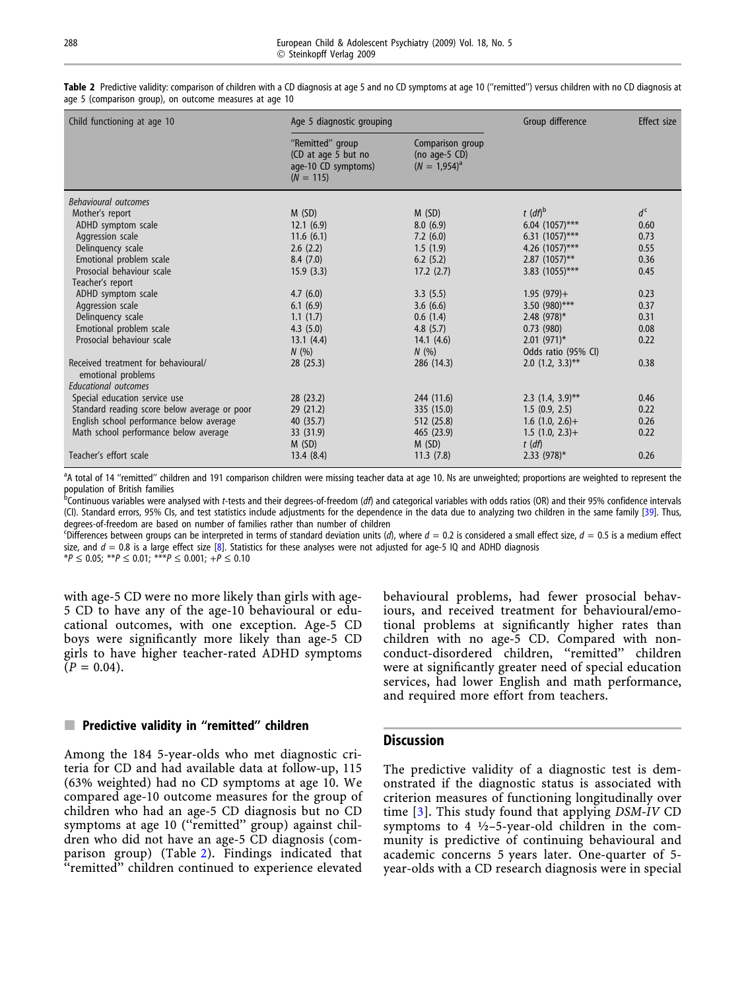| Child functioning at age 10                               | Age 5 diagnostic grouping                                                     | Group difference                                        | Effect size           |                  |
|-----------------------------------------------------------|-------------------------------------------------------------------------------|---------------------------------------------------------|-----------------------|------------------|
|                                                           | "Remitted" group<br>(CD at age 5 but no<br>age-10 CD symptoms)<br>$(N = 115)$ | Comparison group<br>(no age-5 $CD$ )<br>$(N = 1.954)^a$ |                       |                  |
| <b>Behavioural outcomes</b>                               |                                                                               |                                                         |                       |                  |
| Mother's report                                           | M(SD)                                                                         | M(SD)                                                   | $t$ (df) <sup>b</sup> | $d^{\mathsf{c}}$ |
| ADHD symptom scale                                        | 12.1(6.9)                                                                     | 8.0(6.9)                                                | 6.04 $(1057)$ ***     | 0.60             |
| Aggression scale                                          | 11.6(6.1)                                                                     | 7.2(6.0)                                                | $6.31$ (1057)***      | 0.73             |
| Delinquency scale                                         | 2.6(2.2)                                                                      | 1.5(1.9)                                                | 4.26 (1057)***        | 0.55             |
| Emotional problem scale                                   | 8.4(7.0)                                                                      | 6.2(5.2)                                                | $2.87$ (1057)**       | 0.36             |
| Prosocial behaviour scale                                 | 15.9(3.3)                                                                     | 17.2(2.7)                                               | 3.83 $(1055)***$      | 0.45             |
| Teacher's report                                          |                                                                               |                                                         |                       |                  |
| ADHD symptom scale                                        | 4.7(6.0)                                                                      | 3.3(5.5)                                                | $1.95(979) +$         | 0.23             |
| Aggression scale                                          | 6.1(6.9)                                                                      | 3.6(6.6)                                                | 3.50 $(980)$ ***      | 0.37             |
| Delinguency scale                                         | 1.1(1.7)                                                                      | 0.6(1.4)                                                | 2.48 $(978)*$         | 0.31             |
| Emotional problem scale                                   | 4.3(5.0)                                                                      | 4.8(5.7)                                                | 0.73(980)             | 0.08             |
| Prosocial behaviour scale                                 | 13.1(4.4)                                                                     | 14.1(4.6)                                               | $2.01(971)^*$         | 0.22             |
|                                                           | N(%)                                                                          | N(%)                                                    | Odds ratio (95% CI)   |                  |
| Received treatment for behavioural/<br>emotional problems | 28(25.3)                                                                      | 286 (14.3)                                              | 2.0 $(1.2, 3.3)$ **   | 0.38             |
| <b>Educational outcomes</b>                               |                                                                               |                                                         |                       |                  |
| Special education service use                             | 28(23.2)                                                                      | 244 (11.6)                                              | 2.3 $(1.4, 3.9)$ **   | 0.46             |
| Standard reading score below average or poor              | 29(21.2)                                                                      | 335 (15.0)                                              | 1.5(0.9, 2.5)         | 0.22             |
| English school performance below average                  | 40 (35.7)                                                                     | 512 (25.8)                                              | $1.6$ (1.0, 2.6)+     | 0.26             |
| Math school performance below average                     | 33 (31.9)                                                                     | 465 (23.9)                                              | $1.5$ $(1.0, 2.3)$ +  | 0.22             |
|                                                           | M(SD)                                                                         | M(SD)                                                   | $t$ (df)              |                  |
| Teacher's effort scale                                    | 13.4(8.4)                                                                     | 11.3(7.8)                                               | $2.33$ (978)*         | 0.26             |

Table 2 Predictive validity: comparison of children with a CD diagnosis at age 5 and no CD symptoms at age 10 ("remitted") versus children with no CD diagnosis at age 5 (comparison group), on outcome measures at age 10

<sup>a</sup>A total of 14 "remitted" children and 191 comparison children were missing teacher data at age 10. Ns are unweighted; proportions are weighted to represent the

population of British families<br><sup>b</sup>Continuous variables were analysed with *t-*tests and their degrees-of-freedom (*df*) and categorical variables with odds ratios (OR) and their 95% confidence intervals (CI). Standard errors, 95% CIs, and test statistics include adjustments for the dependence in the data due to analyzing two children in the same family [[39](#page-7-0)]. Thus, degrees-of-freedom are based on number of families rather than number of children

"Differences between groups can be interpreted in terms of standard deviation units (d), where  $d = 0.2$  is considered a small effect size,  $d = 0.5$  is a medium effect size, and  $d = 0.8$  is a large effect size [\[8](#page-6-0)]. Statistics for these analyses were not adjusted for age-5 IQ and ADHD diagnosis

 $*P \le 0.05$ ;  $*P \le 0.01$ ;  $*P \le 0.001$ ;  $+P \le 0.10$ 

with age-5 CD were no more likely than girls with age-5 CD to have any of the age-10 behavioural or educational outcomes, with one exception. Age-5 CD boys were significantly more likely than age-5 CD girls to have higher teacher-rated ADHD symptoms  $(P = 0.04)$ .

# $\blacksquare$  Predictive validity in "remitted" children

Among the 184 5-year-olds who met diagnostic criteria for CD and had available data at follow-up, 115 (63% weighted) had no CD symptoms at age 10. We compared age-10 outcome measures for the group of children who had an age-5 CD diagnosis but no CD symptoms at age 10 ("remitted" group) against children who did not have an age-5 CD diagnosis (comparison group) (Table 2). Findings indicated that "remitted" children continued to experience elevated

behavioural problems, had fewer prosocial behaviours, and received treatment for behavioural/emotional problems at significantly higher rates than children with no age-5 CD. Compared with nonconduct-disordered children, ''remitted'' children were at significantly greater need of special education services, had lower English and math performance, and required more effort from teachers.

# **Discussion**

The predictive validity of a diagnostic test is demonstrated if the diagnostic status is associated with criterion measures of functioning longitudinally over time [\[3](#page-6-0)]. This study found that applying DSM-IV CD symptoms to 4  $\frac{1}{2}$ -5-year-old children in the community is predictive of continuing behavioural and academic concerns 5 years later. One-quarter of 5 year-olds with a CD research diagnosis were in special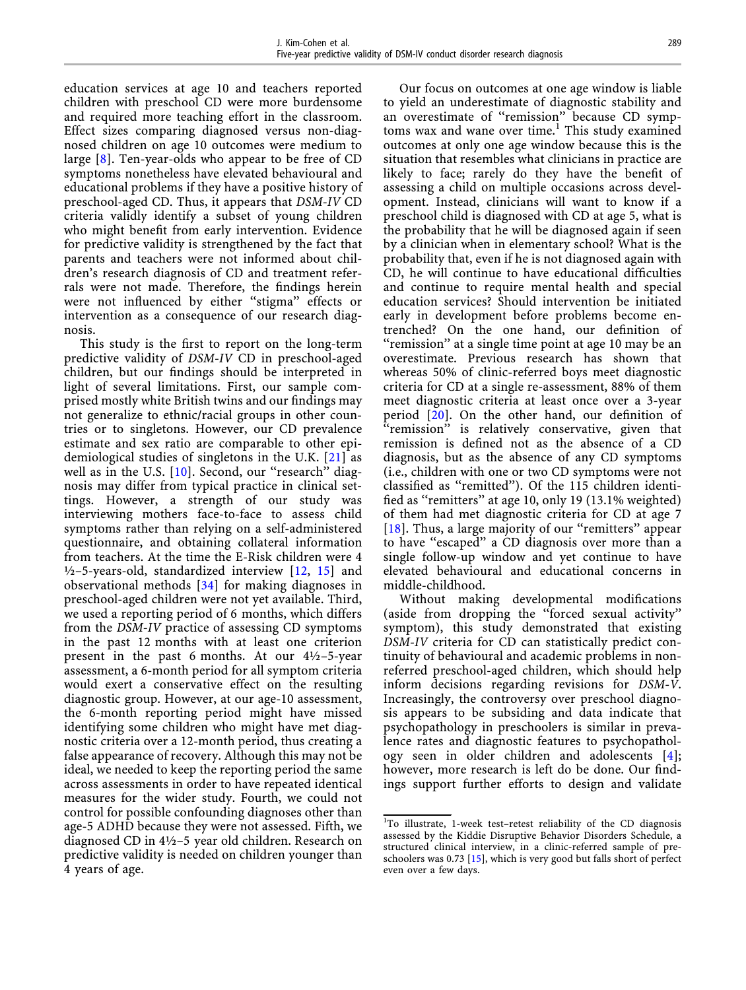education services at age 10 and teachers reported children with preschool CD were more burdensome and required more teaching effort in the classroom. Effect sizes comparing diagnosed versus non-diagnosed children on age 10 outcomes were medium to large [\[8](#page-6-0)]. Ten-year-olds who appear to be free of CD symptoms nonetheless have elevated behavioural and educational problems if they have a positive history of preschool-aged CD. Thus, it appears that DSM-IV CD criteria validly identify a subset of young children who might benefit from early intervention. Evidence for predictive validity is strengthened by the fact that parents and teachers were not informed about children's research diagnosis of CD and treatment referrals were not made. Therefore, the findings herein were not influenced by either ''stigma'' effects or intervention as a consequence of our research diagnosis.

This study is the first to report on the long-term predictive validity of DSM-IV CD in preschool-aged children, but our findings should be interpreted in light of several limitations. First, our sample comprised mostly white British twins and our findings may not generalize to ethnic/racial groups in other countries or to singletons. However, our CD prevalence estimate and sex ratio are comparable to other epidemiological studies of singletons in the U.K. [\[21\]](#page-6-0) as well as in the U.S.  $[10]$  $[10]$ . Second, our "research" diagnosis may differ from typical practice in clinical settings. However, a strength of our study was interviewing mothers face-to-face to assess child symptoms rather than relying on a self-administered questionnaire, and obtaining collateral information from teachers. At the time the E-Risk children were 4  $\frac{1}{2}$ –5-years-old, standardized interview [\[12](#page-6-0), [15](#page-6-0)] and observational methods [[34\]](#page-7-0) for making diagnoses in preschool-aged children were not yet available. Third, we used a reporting period of 6 months, which differs from the DSM-IV practice of assessing CD symptoms in the past 12 months with at least one criterion present in the past 6 months. At our 4½–5-year assessment, a 6-month period for all symptom criteria would exert a conservative effect on the resulting diagnostic group. However, at our age-10 assessment, the 6-month reporting period might have missed identifying some children who might have met diagnostic criteria over a 12-month period, thus creating a false appearance of recovery. Although this may not be ideal, we needed to keep the reporting period the same across assessments in order to have repeated identical measures for the wider study. Fourth, we could not control for possible confounding diagnoses other than age-5 ADHD because they were not assessed. Fifth, we diagnosed CD in 4½–5 year old children. Research on predictive validity is needed on children younger than 4 years of age.

Our focus on outcomes at one age window is liable to yield an underestimate of diagnostic stability and an overestimate of ''remission'' because CD symptoms wax and wane over time.<sup>1</sup> This study examined outcomes at only one age window because this is the situation that resembles what clinicians in practice are likely to face; rarely do they have the benefit of assessing a child on multiple occasions across development. Instead, clinicians will want to know if a preschool child is diagnosed with CD at age 5, what is the probability that he will be diagnosed again if seen by a clinician when in elementary school? What is the probability that, even if he is not diagnosed again with CD, he will continue to have educational difficulties and continue to require mental health and special education services? Should intervention be initiated early in development before problems become entrenched? On the one hand, our definition of ''remission'' at a single time point at age 10 may be an overestimate. Previous research has shown that whereas 50% of clinic-referred boys meet diagnostic criteria for CD at a single re-assessment, 88% of them meet diagnostic criteria at least once over a 3-year period [[20\]](#page-6-0). On the other hand, our definition of ''remission'' is relatively conservative, given that remission is defined not as the absence of a CD diagnosis, but as the absence of any CD symptoms (i.e., children with one or two CD symptoms were not classified as ''remitted''). Of the 115 children identified as ''remitters'' at age 10, only 19 (13.1% weighted) of them had met diagnostic criteria for CD at age 7 [\[18](#page-6-0)]. Thus, a large majority of our "remitters" appear to have ''escaped'' a CD diagnosis over more than a single follow-up window and yet continue to have elevated behavioural and educational concerns in middle-childhood.

Without making developmental modifications (aside from dropping the ''forced sexual activity'' symptom), this study demonstrated that existing DSM-IV criteria for CD can statistically predict continuity of behavioural and academic problems in nonreferred preschool-aged children, which should help inform decisions regarding revisions for DSM-V. Increasingly, the controversy over preschool diagnosis appears to be subsiding and data indicate that psychopathology in preschoolers is similar in prevalence rates and diagnostic features to psychopathology seen in older children and adolescents [[4\]](#page-6-0); however, more research is left do be done. Our findings support further efforts to design and validate

<sup>&</sup>lt;sup>1</sup>To illustrate, 1-week test-retest reliability of the CD diagnosis assessed by the Kiddie Disruptive Behavior Disorders Schedule, a structured clinical interview, in a clinic-referred sample of preschoolers was 0.73 [\[15](#page-6-0)], which is very good but falls short of perfect even over a few days.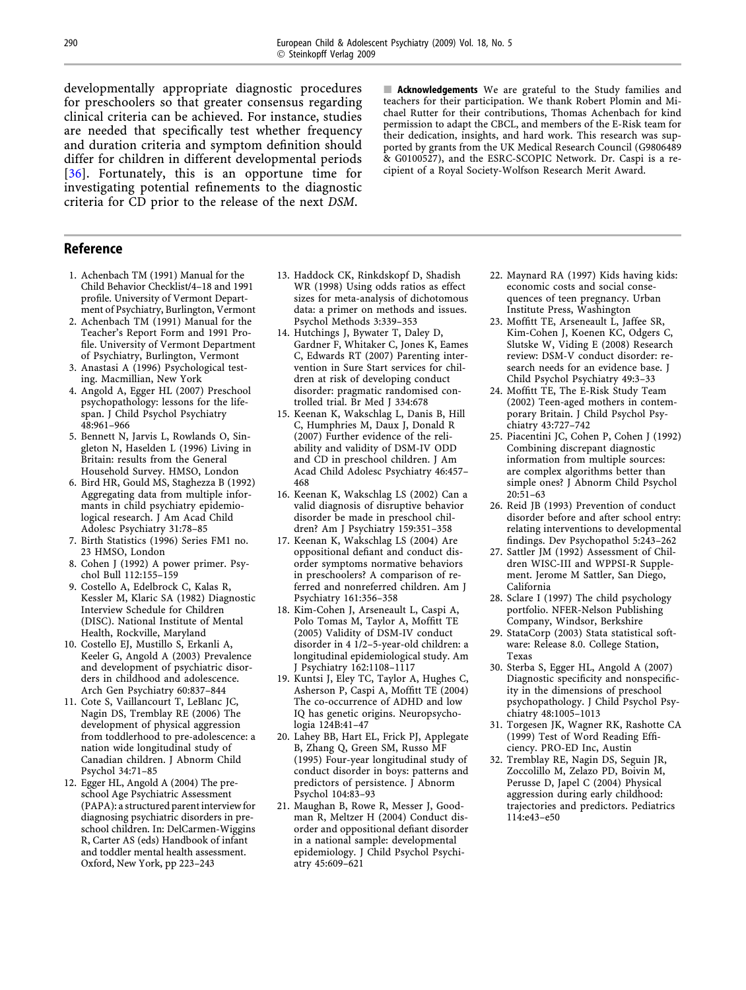<span id="page-6-0"></span>developmentally appropriate diagnostic procedures for preschoolers so that greater consensus regarding clinical criteria can be achieved. For instance, studies are needed that specifically test whether frequency and duration criteria and symptom definition should differ for children in different developmental periods [[36](#page-7-0)]. Fortunately, this is an opportune time for investigating potential refinements to the diagnostic criteria for CD prior to the release of the next DSM.

 $\blacksquare$  Acknowledgements We are grateful to the Study families and teachers for their participation. We thank Robert Plomin and Michael Rutter for their contributions, Thomas Achenbach for kind permission to adapt the CBCL, and members of the E-Risk team for their dedication, insights, and hard work. This research was supported by grants from the UK Medical Research Council (G9806489 & G0100527), and the ESRC-SCOPIC Network. Dr. Caspi is a recipient of a Royal Society-Wolfson Research Merit Award.

### Reference

- 1. Achenbach TM (1991) Manual for the Child Behavior Checklist/4–18 and 1991 profile. University of Vermont Department of Psychiatry, Burlington, Vermont
- 2. Achenbach TM (1991) Manual for the Teacher's Report Form and 1991 Profile. University of Vermont Department of Psychiatry, Burlington, Vermont
- 3. Anastasi A (1996) Psychological testing. Macmillian, New York
- 4. Angold A, Egger HL (2007) Preschool psychopathology: lessons for the lifespan. J Child Psychol Psychiatry 48:961–966
- 5. Bennett N, Jarvis L, Rowlands O, Singleton N, Haselden L (1996) Living in Britain: results from the General Household Survey. HMSO, London
- 6. Bird HR, Gould MS, Staghezza B (1992) Aggregating data from multiple informants in child psychiatry epidemiological research. J Am Acad Child Adolesc Psychiatry 31:78–85
- 7. Birth Statistics (1996) Series FM1 no. 23 HMSO, London
- 8. Cohen J (1992) A power primer. Psychol Bull 112:155–159
- 9. Costello A, Edelbrock C, Kalas R, Kessler M, Klaric SA (1982) Diagnostic Interview Schedule for Children (DISC). National Institute of Mental Health, Rockville, Maryland
- 10. Costello EJ, Mustillo S, Erkanli A, Keeler G, Angold A (2003) Prevalence and development of psychiatric disorders in childhood and adolescence. Arch Gen Psychiatry 60:837–844
- 11. Cote S, Vaillancourt T, LeBlanc JC, Nagin DS, Tremblay RE (2006) The development of physical aggression from toddlerhood to pre-adolescence: a nation wide longitudinal study of Canadian children. J Abnorm Child Psychol 34:71–85
- 12. Egger HL, Angold A (2004) The preschool Age Psychiatric Assessment (PAPA): a structured parent interview for diagnosing psychiatric disorders in preschool children. In: DelCarmen-Wiggins R, Carter AS (eds) Handbook of infant and toddler mental health assessment. Oxford, New York, pp 223–243
- 13. Haddock CK, Rinkdskopf D, Shadish WR (1998) Using odds ratios as effect sizes for meta-analysis of dichotomous data: a primer on methods and issues. Psychol Methods 3:339–353
- 14. Hutchings J, Bywater T, Daley D, Gardner F, Whitaker C, Jones K, Eames C, Edwards RT (2007) Parenting intervention in Sure Start services for children at risk of developing conduct disorder: pragmatic randomised controlled trial. Br Med J 334:678
- 15. Keenan K, Wakschlag L, Danis B, Hill C, Humphries M, Daux J, Donald R (2007) Further evidence of the reliability and validity of DSM-IV ODD and CD in preschool children. J Am Acad Child Adolesc Psychiatry 46:457– 468
- 16. Keenan K, Wakschlag LS (2002) Can a valid diagnosis of disruptive behavior disorder be made in preschool children? Am J Psychiatry 159:351–358
- 17. Keenan K, Wakschlag LS (2004) Are oppositional defiant and conduct disorder symptoms normative behaviors in preschoolers? A comparison of referred and nonreferred children. Am J Psychiatry 161:356–358
- 18. Kim-Cohen J, Arseneault L, Caspi A, Polo Tomas M, Taylor A, Moffitt TE (2005) Validity of DSM-IV conduct disorder in 4 1/2–5-year-old children: a longitudinal epidemiological study. Am Psychiatry 162:1108-1117
- 19. Kuntsi J, Eley TC, Taylor A, Hughes C, Asherson P, Caspi A, Moffitt TE (2004) The co-occurrence of ADHD and low IQ has genetic origins. Neuropsychologia 124B:41–47
- 20. Lahey BB, Hart EL, Frick PJ, Applegate B, Zhang Q, Green SM, Russo MF (1995) Four-year longitudinal study of conduct disorder in boys: patterns and predictors of persistence. J Abnorm Psychol 104:83–93
- 21. Maughan B, Rowe R, Messer J, Goodman R, Meltzer H (2004) Conduct disorder and oppositional defiant disorder in a national sample: developmental epidemiology. J Child Psychol Psychiatry 45:609–621
- 22. Maynard RA (1997) Kids having kids: economic costs and social consequences of teen pregnancy. Urban Institute Press, Washington
- 23. Moffitt TE, Arseneault L, Jaffee SR, Kim-Cohen J, Koenen KC, Odgers C, Slutske W, Viding E (2008) Research review: DSM-V conduct disorder: research needs for an evidence base. J Child Psychol Psychiatry 49:3–33
- 24. Moffitt TE, The E-Risk Study Team (2002) Teen-aged mothers in contemporary Britain. J Child Psychol Psychiatry 43:727–742
- 25. Piacentini JC, Cohen P, Cohen J (1992) Combining discrepant diagnostic information from multiple sources: are complex algorithms better than simple ones? J Abnorm Child Psychol 20:51–63
- 26. Reid JB (1993) Prevention of conduct disorder before and after school entry: relating interventions to developmental findings. Dev Psychopathol 5:243–262
- 27. Sattler JM (1992) Assessment of Children WISC-III and WPPSI-R Supplement. Jerome M Sattler, San Diego, California
- 28. Sclare I (1997) The child psychology portfolio. NFER-Nelson Publishing Company, Windsor, Berkshire
- 29. StataCorp (2003) Stata statistical software: Release 8.0. College Station, Texas
- 30. Sterba S, Egger HL, Angold A (2007) Diagnostic specificity and nonspecificity in the dimensions of preschool psychopathology. J Child Psychol Psychiatry 48:1005–1013
- 31. Torgesen JK, Wagner RK, Rashotte CA (1999) Test of Word Reading Efficiency. PRO-ED Inc, Austin
- 32. Tremblay RE, Nagin DS, Seguin JR, Zoccolillo M, Zelazo PD, Boivin M, Perusse D, Japel C (2004) Physical aggression during early childhood: trajectories and predictors. Pediatrics 114:e43–e50